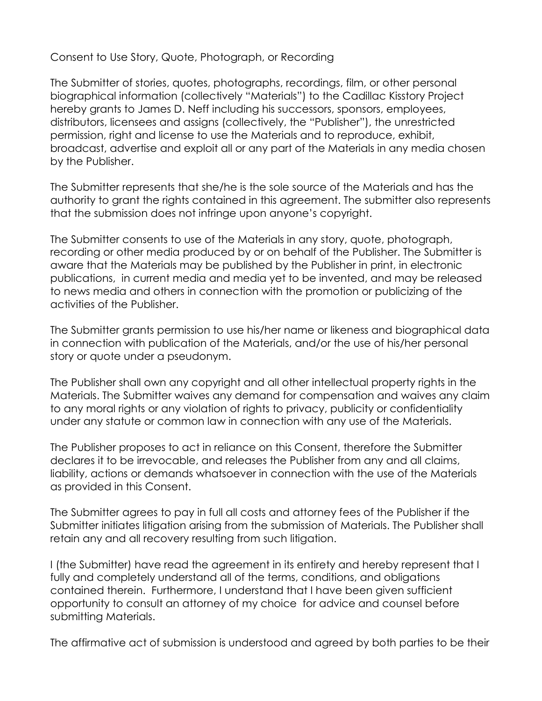## Consent to Use Story, Quote, Photograph, or Recording

The Submitter of stories, quotes, photographs, recordings, film, or other personal biographical information (collectively "Materials") to the Cadillac Kisstory Project hereby grants to James D. Neff including his successors, sponsors, employees, distributors, licensees and assigns (collectively, the "Publisher"), the unrestricted permission, right and license to use the Materials and to reproduce, exhibit, broadcast, advertise and exploit all or any part of the Materials in any media chosen by the Publisher.

The Submitter represents that she/he is the sole source of the Materials and has the authority to grant the rights contained in this agreement. The submitter also represents that the submission does not infringe upon anyone's copyright.

The Submitter consents to use of the Materials in any story, quote, photograph, recording or other media produced by or on behalf of the Publisher. The Submitter is aware that the Materials may be published by the Publisher in print, in electronic publications, in current media and media yet to be invented, and may be released to news media and others in connection with the promotion or publicizing of the activities of the Publisher.

The Submitter grants permission to use his/her name or likeness and biographical data in connection with publication of the Materials, and/or the use of his/her personal story or quote under a pseudonym.

The Publisher shall own any copyright and all other intellectual property rights in the Materials. The Submitter waives any demand for compensation and waives any claim to any moral rights or any violation of rights to privacy, publicity or confidentiality under any statute or common law in connection with any use of the Materials.

The Publisher proposes to act in reliance on this Consent, therefore the Submitter declares it to be irrevocable, and releases the Publisher from any and all claims, liability, actions or demands whatsoever in connection with the use of the Materials as provided in this Consent.

The Submitter agrees to pay in full all costs and attorney fees of the Publisher if the Submitter initiates litigation arising from the submission of Materials. The Publisher shall retain any and all recovery resulting from such litigation.

I (the Submitter) have read the agreement in its entirety and hereby represent that I fully and completely understand all of the terms, conditions, and obligations contained therein. Furthermore, I understand that I have been given sufficient opportunity to consult an attorney of my choice for advice and counsel before submitting Materials.

The affirmative act of submission is understood and agreed by both parties to be their